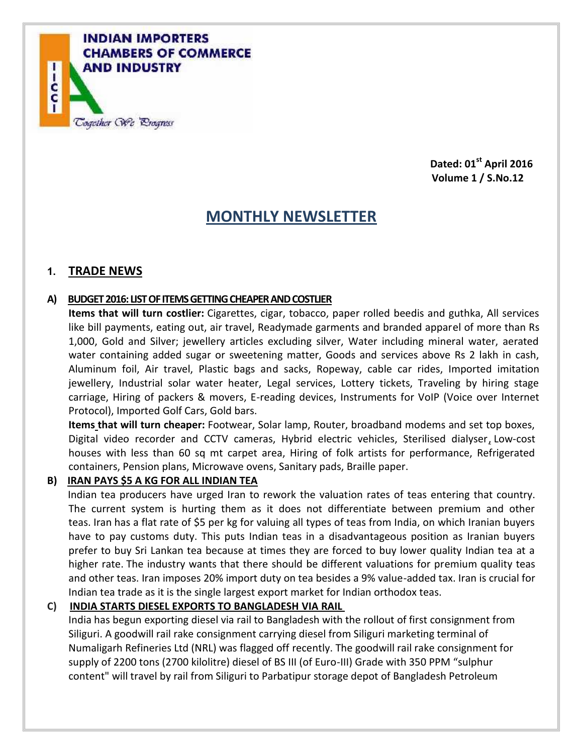

**Dated: 01st April 2016 Volume 1 / S.No.12**

# **MONTHLY NEWSLETTER**

## **1. TRADE NEWS**

#### **A) BUDGET 2016: LIST OF ITEMS GETTING CHEAPER AND COSTLIER**

**Items that will turn costlier:** Cigarettes, cigar, tobacco, paper rolled beedis and guthka, All services like bill payments, eating out, air travel, Readymade garments and branded apparel of more than Rs 1,000, Gold and Silver; jewellery articles excluding silver, Water including mineral water, aerated water containing added sugar or sweetening matter, Goods and services above Rs 2 lakh in cash, Aluminum foil, Air travel, Plastic bags and sacks, Ropeway, cable car rides, Imported imitation jewellery, Industrial solar water heater, Legal services, Lottery tickets, Traveling by hiring stage carriage, Hiring of packers & movers, E-reading devices, Instruments for VoIP (Voice over Internet Protocol), Imported Golf Cars, Gold bars.

**Items that will turn cheaper:** Footwear, Solar lamp, Router, broadband modems and set top boxes, Digital video recorder and CCTV cameras, Hybrid electric vehicles, Sterilised dialyser, Low-cost houses with less than 60 sq mt carpet area, Hiring of folk artists for performance, Refrigerated containers, Pension plans, Microwave ovens, Sanitary pads, Braille paper.

#### **B) IRAN PAYS \$5 A KG FOR ALL INDIAN TEA**

Indian tea producers have urged Iran to rework the valuation rates of teas entering that country. The current system is hurting them as it does not differentiate between premium and other teas. Iran has a flat rate of \$5 per kg for valuing all types of teas from India, on which Iranian buyers have to pay customs duty. This puts Indian teas in a disadvantageous position as Iranian buyers prefer to buy Sri Lankan tea because at times they are forced to buy lower quality Indian tea at a higher rate. The industry wants that there should be different valuations for premium quality teas and other teas. Iran imposes 20% import duty on tea besides a 9% value-added tax. Iran is crucial for Indian tea trade as it is the single largest export market for Indian orthodox teas.

#### **C) INDIA STARTS DIESEL EXPORTS TO BANGLADESH VIA RAIL**

India has begun exporting diesel via rail to Bangladesh with the rollout of first consignment from Siliguri. A goodwill rail rake consignment carrying diesel from Siliguri marketing terminal of Numaligarh Refineries Ltd (NRL) was flagged off recently. The goodwill rail rake consignment for supply of 2200 tons (2700 kilolitre) diesel of BS III (of Euro-III) Grade with 350 PPM "sulphur content" will travel by rail from Siliguri to Parbatipur storage depot of Bangladesh Petroleum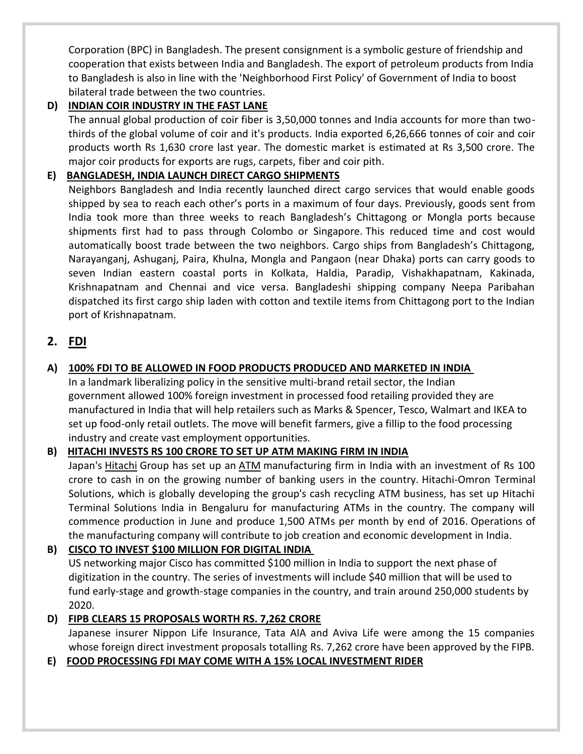Corporation (BPC) in Bangladesh. The present consignment is a symbolic gesture of friendship and cooperation that exists between India and Bangladesh. The export of petroleum products from India to Bangladesh is also in line with the 'Neighborhood First Policy' of Government of India to boost bilateral trade between the two countries.

## **D) INDIAN COIR INDUSTRY IN THE FAST LANE**

The annual global production of coir fiber is 3,50,000 tonnes and India accounts for more than twothirds of the global volume of coir and it's products. India exported 6,26,666 tonnes of coir and coir products worth Rs 1,630 crore last year. The domestic market is estimated at Rs 3,500 crore. The major coir products for exports are rugs, carpets, fiber and coir pith.

## **E) BANGLADESH, INDIA LAUNCH DIRECT CARGO SHIPMENTS**

Neighbors Bangladesh and India recently launched direct cargo services that would enable goods shipped by sea to reach each other's ports in a maximum of four days. Previously, goods sent from India took more than three weeks to reach Bangladesh's Chittagong or Mongla ports because shipments first had to pass through Colombo or Singapore. This reduced time and cost would automatically boost trade between the two neighbors. Cargo ships from Bangladesh's Chittagong, Narayanganj, Ashuganj, Paira, Khulna, Mongla and Pangaon (near Dhaka) ports can carry goods to seven Indian eastern coastal ports in Kolkata, Haldia, Paradip, Vishakhapatnam, Kakinada, Krishnapatnam and Chennai and vice versa. Bangladeshi shipping company Neepa Paribahan dispatched its first cargo ship laden with cotton and textile items from Chittagong port to the Indian port of Krishnapatnam.

## **2. FDI**

## **A) 100% FDI TO BE ALLOWED IN FOOD PRODUCTS PRODUCED AND MARKETED IN INDIA**

In a landmark liberalizing policy in the sensitive multi-brand retail sector, the Indian government allowed 100% foreign investment in processed food retailing provided they are manufactured in India that will help retailers such as Marks & Spencer, Tesco, Walmart and IKEA to set up food-only retail outlets. The move will benefit farmers, give a fillip to the food processing industry and create vast employment opportunities.

## **B) HITACHI INVESTS RS 100 CRORE TO SET UP ATM MAKING FIRM IN INDIA**

Japan's Hitachi Group has set up an ATM manufacturing firm in India with an investment of Rs 100 crore to cash in on the growing number of banking users in the country. Hitachi-Omron Terminal Solutions, which is globally developing the group's cash recycling ATM business, has set up Hitachi Terminal Solutions India in Bengaluru for manufacturing ATMs in the country. The company will commence production in June and produce 1,500 ATMs per month by end of 2016. Operations of the manufacturing company will contribute to job creation and economic development in India.

## **B) CISCO TO INVEST \$100 MILLION FOR DIGITAL INDIA**

US networking major Cisco has committed \$100 million in India to support the next phase of digitization in the country. The series of investments will include \$40 million that will be used to fund early-stage and growth-stage companies in the country, and train around 250,000 students by 2020.

## **D) FIPB CLEARS 15 PROPOSALS WORTH RS. 7,262 CRORE**

Japanese insurer Nippon Life Insurance, Tata AIA and Aviva Life were among the 15 companies whose foreign direct investment proposals totalling Rs. 7,262 crore have been approved by the FIPB.

#### **E) FOOD PROCESSING FDI MAY COME WITH A 15% LOCAL INVESTMENT RIDER**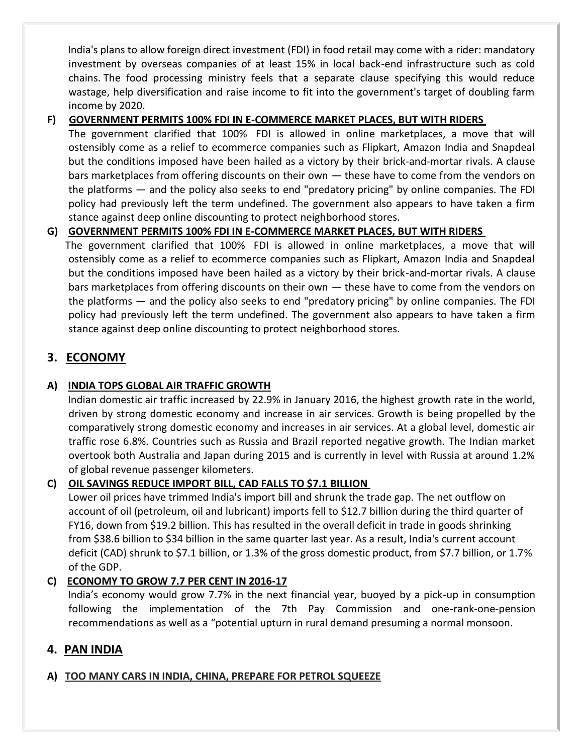India's plans to allow foreign direct investment (FDI) in food retail may come with a rider: mandatory investment by overseas companies of at least 15% in local back-end infrastructure such as cold chains. The food processing ministry feels that a separate clause specifying this would reduce wastage, help diversification and raise income to fit into the government's target of doubling farm income by 2020.

#### **F) GOVERNMENT PERMITS 100% FDI IN E-COMMERCE MARKET PLACES, BUT WITH RIDERS**

The government clarified that 100% FDI is allowed in online marketplaces, a move that will ostensibly come as a relief to ecommerce companies such as Flipkart, Amazon India and Snapdeal but the conditions imposed have been hailed as a victory by their brick-and-mortar rivals. A clause bars marketplaces from offering discounts on their own — these have to come from the vendors on the platforms — and the policy also seeks to end "predatory pricing" by online companies. The FDI policy had previously left the term undefined. The government also appears to have taken a firm stance against deep online discounting to protect neighborhood stores.

#### **G) GOVERNMENT PERMITS 100% FDI IN E-COMMERCE MARKET PLACES, BUT WITH RIDERS**

The government clarified that 100% FDI is allowed in online marketplaces, a move that will ostensibly come as a relief to ecommerce companies such as Flipkart, Amazon India and Snapdeal but the conditions imposed have been hailed as a victory by their brick-and-mortar rivals. A clause bars marketplaces from offering discounts on their own — these have to come from the vendors on the platforms — and the policy also seeks to end "predatory pricing" by online companies. The FDI policy had previously left the term undefined. The government also appears to have taken a firm stance against deep online discounting to protect neighborhood stores.

## **3. ECONOMY**

#### **A) INDIA TOPS GLOBAL AIR TRAFFIC GROWTH**

Indian domestic air traffic increased by 22.9% in January 2016, the highest growth rate in the world, driven by strong domestic economy and increase in air services. Growth is being propelled by the comparatively strong domestic economy and increases in air services. At a global level, domestic air traffic rose 6.8%. Countries such as Russia and Brazil reported negative growth. The Indian market overtook both Australia and Japan during 2015 and is currently in level with Russia at around 1.2% of global revenue passenger kilometers.

#### **C) OIL SAVINGS REDUCE IMPORT BILL, CAD FALLS TO \$7.1 BILLION**

Lower oil prices have trimmed India's import bill and shrunk the trade gap. The net outflow on account of oil (petroleum, oil and lubricant) imports fell to \$12.7 billion during the third quarter of FY16, down from \$19.2 billion. This has resulted in the overall deficit in trade in goods shrinking from \$38.6 billion to \$34 billion in the same quarter last year. As a result, India's current account deficit (CAD) shrunk to \$7.1 billion, or 1.3% of the gross domestic product, from \$7.7 billion, or 1.7% of the GDP.

## **C) ECONOMY TO GROW 7.7 PER CENT IN 2016-17**

India's economy would grow 7.7% in the next financial year, buoyed by a pick-up in consumption following the implementation of the 7th Pay Commission and one-rank-one-pension recommendations as well as a "potential upturn in rural demand presuming a normal monsoon.

## **4. PAN INDIA**

## **A) TOO MANY CARS IN INDIA, CHINA, PREPARE FOR PETROL SQUEEZE**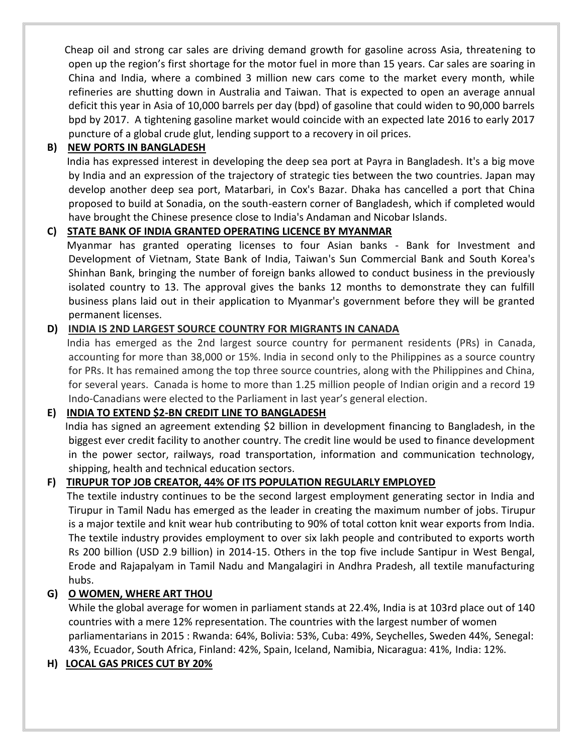Cheap oil and strong car sales are driving demand growth for gasoline across Asia, threatening to open up the region's first shortage for the motor fuel in more than 15 years. Car sales are soaring in China and India, where a combined 3 million new cars come to the market every month, while refineries are shutting down in Australia and Taiwan. That is expected to open an average annual deficit this year in Asia of 10,000 barrels per day (bpd) of gasoline that could widen to 90,000 barrels bpd by 2017. A tightening gasoline market would coincide with an expected late 2016 to early 2017 puncture of a global crude glut, lending support to a recovery in oil prices.

#### **B) NEW PORTS IN BANGLADESH**

India has expressed interest in developing the deep sea port at Payra in Bangladesh. It's a big move by India and an expression of the trajectory of strategic ties between the two countries. Japan may develop another deep sea port, Matarbari, in Cox's Bazar. Dhaka has cancelled a port that China proposed to build at Sonadia, on the south-eastern corner of Bangladesh, which if completed would have brought the Chinese presence close to India's Andaman and Nicobar Islands.

#### **C) STATE BANK OF INDIA GRANTED OPERATING LICENCE BY MYANMAR**

Myanmar has granted operating licenses to four Asian banks - Bank for Investment and Development of Vietnam, State Bank of India, Taiwan's Sun Commercial Bank and South Korea's Shinhan Bank, bringing the number of foreign banks allowed to conduct business in the previously isolated country to 13. The approval gives the banks 12 months to demonstrate they can fulfill business plans laid out in their application to Myanmar's government before they will be granted permanent licenses.

#### **D) INDIA IS 2ND LARGEST SOURCE COUNTRY FOR MIGRANTS IN CANADA**

India has emerged as the 2nd largest source country for permanent residents (PRs) in Canada, accounting for more than 38,000 or 15%. India in second only to the Philippines as a source country for PRs. It has remained among the top three source countries, along with the Philippines and China, for several years. Canada is home to more than 1.25 million people of Indian origin and a record 19 Indo-Canadians were elected to the Parliament in last year's general election.

#### **E) INDIA TO EXTEND \$2-BN CREDIT LINE TO BANGLADESH**

India has signed an agreement extending \$2 billion in development financing to Bangladesh, in the biggest ever credit facility to another country. The credit line would be used to finance development in the power sector, railways, road transportation, information and communication technology, shipping, health and technical education sectors.

#### **F) TIRUPUR TOP JOB CREATOR, 44% OF ITS POPULATION REGULARLY EMPLOYED**

The textile industry continues to be the second largest employment generating sector in India and Tirupur in Tamil Nadu has emerged as the leader in creating the maximum number of jobs. Tirupur is a major textile and knit wear hub contributing to 90% of total cotton knit wear exports from India. The textile industry provides employment to over six lakh people and contributed to exports worth Rs 200 billion (USD 2.9 billion) in 2014-15. Others in the top five include Santipur in West Bengal, Erode and Rajapalyam in Tamil Nadu and Mangalagiri in Andhra Pradesh, all textile manufacturing hubs.

#### **G) O WOMEN, WHERE ART THOU**

While the global average for women in parliament stands at 22.4%, India is at 103rd place out of 140 countries with a mere 12% representation. The countries with the largest number of women parliamentarians in 2015 : Rwanda: 64%, Bolivia: 53%, Cuba: 49%, Seychelles, Sweden 44%, Senegal: 43%, Ecuador, South Africa, Finland: 42%, Spain, Iceland, Namibia, Nicaragua: 41%, India: 12%.

#### **H) LOCAL GAS PRICES CUT BY 20%**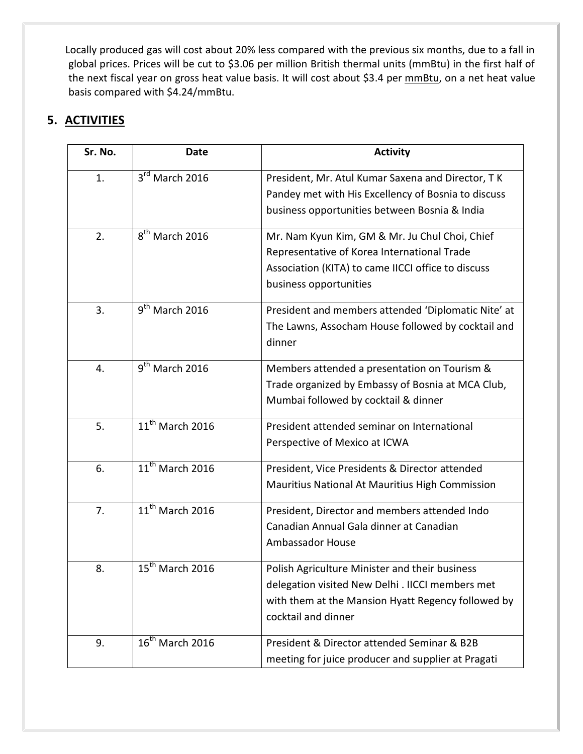Locally produced gas will cost about 20% less compared with the previous six months, due to a fall in global prices. Prices will be cut to \$3.06 per million British thermal units (mmBtu) in the first half of the next fiscal year on gross heat value basis. It will cost about \$3.4 per mmBtu, on a net heat value basis compared with \$4.24/mmBtu.

# **5. ACTIVITIES**

| Sr. No. | <b>Date</b>                 | <b>Activity</b>                                                                                                                                                                 |
|---------|-----------------------------|---------------------------------------------------------------------------------------------------------------------------------------------------------------------------------|
| 1.      | $3^{rd}$ March 2016         | President, Mr. Atul Kumar Saxena and Director, TK<br>Pandey met with His Excellency of Bosnia to discuss<br>business opportunities between Bosnia & India                       |
| 2.      | 8 <sup>th</sup> March 2016  | Mr. Nam Kyun Kim, GM & Mr. Ju Chul Choi, Chief<br>Representative of Korea International Trade<br>Association (KITA) to came IICCI office to discuss<br>business opportunities   |
| 3.      | $9th$ March 2016            | President and members attended 'Diplomatic Nite' at<br>The Lawns, Assocham House followed by cocktail and<br>dinner                                                             |
| 4.      | $9th$ March 2016            | Members attended a presentation on Tourism &<br>Trade organized by Embassy of Bosnia at MCA Club,<br>Mumbai followed by cocktail & dinner                                       |
| 5.      | $11^{th}$ March 2016        | President attended seminar on International<br>Perspective of Mexico at ICWA                                                                                                    |
| 6.      | $11th$ March 2016           | President, Vice Presidents & Director attended<br>Mauritius National At Mauritius High Commission                                                                               |
| 7.      | $11^{th}$ March 2016        | President, Director and members attended Indo<br>Canadian Annual Gala dinner at Canadian<br><b>Ambassador House</b>                                                             |
| 8.      | $15^{th}$ March 2016        | Polish Agriculture Minister and their business<br>delegation visited New Delhi . IICCI members met<br>with them at the Mansion Hyatt Regency followed by<br>cocktail and dinner |
| 9.      | $16^{\text{th}}$ March 2016 | President & Director attended Seminar & B2B<br>meeting for juice producer and supplier at Pragati                                                                               |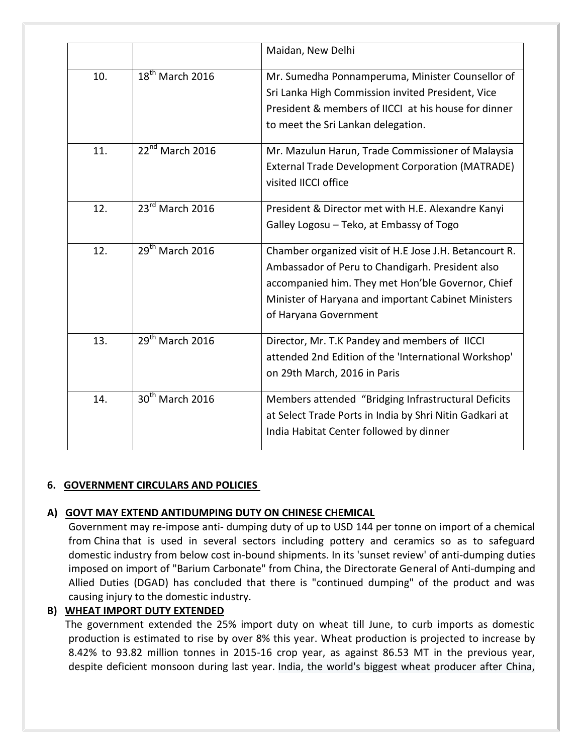|     |                             | Maidan, New Delhi                                                                                                                                                                                                                               |
|-----|-----------------------------|-------------------------------------------------------------------------------------------------------------------------------------------------------------------------------------------------------------------------------------------------|
| 10. | $18^{th}$ March 2016        | Mr. Sumedha Ponnamperuma, Minister Counsellor of<br>Sri Lanka High Commission invited President, Vice<br>President & members of IICCI at his house for dinner<br>to meet the Sri Lankan delegation.                                             |
| 11. | 22 <sup>nd</sup> March 2016 | Mr. Mazulun Harun, Trade Commissioner of Malaysia<br><b>External Trade Development Corporation (MATRADE)</b><br>visited IICCI office                                                                                                            |
| 12. | 23rd March 2016             | President & Director met with H.E. Alexandre Kanyi<br>Galley Logosu - Teko, at Embassy of Togo                                                                                                                                                  |
| 12. | $29th$ March 2016           | Chamber organized visit of H.E Jose J.H. Betancourt R.<br>Ambassador of Peru to Chandigarh. President also<br>accompanied him. They met Hon'ble Governor, Chief<br>Minister of Haryana and important Cabinet Ministers<br>of Haryana Government |
| 13. | $29th$ March 2016           | Director, Mr. T.K Pandey and members of IICCI<br>attended 2nd Edition of the 'International Workshop'<br>on 29th March, 2016 in Paris                                                                                                           |
| 14. | 30 <sup>th</sup> March 2016 | Members attended "Bridging Infrastructural Deficits<br>at Select Trade Ports in India by Shri Nitin Gadkari at<br>India Habitat Center followed by dinner                                                                                       |

#### **6. GOVERNMENT CIRCULARS AND POLICIES**

## **A) GOVT MAY EXTEND ANTIDUMPING DUTY ON CHINESE CHEMICAL**

Government may re-impose anti- dumping duty of up to USD 144 per tonne on import of a chemical from China that is used in several sectors including pottery and ceramics so as to safeguard domestic industry from below cost in-bound shipments. In its 'sunset review' of anti-dumping duties imposed on import of "Barium Carbonate" from China, the Directorate General of Anti-dumping and Allied Duties (DGAD) has concluded that there is "continued dumping" of the product and was causing injury to the domestic industry.

## **B) WHEAT IMPORT DUTY EXTENDED**

The government extended the 25% import duty on wheat till June, to curb imports as domestic production is estimated to rise by over 8% this year. Wheat production is projected to increase by 8.42% to 93.82 million tonnes in 2015-16 crop year, as against 86.53 MT in the previous year, despite deficient monsoon during last year. India, the world's biggest wheat producer after China,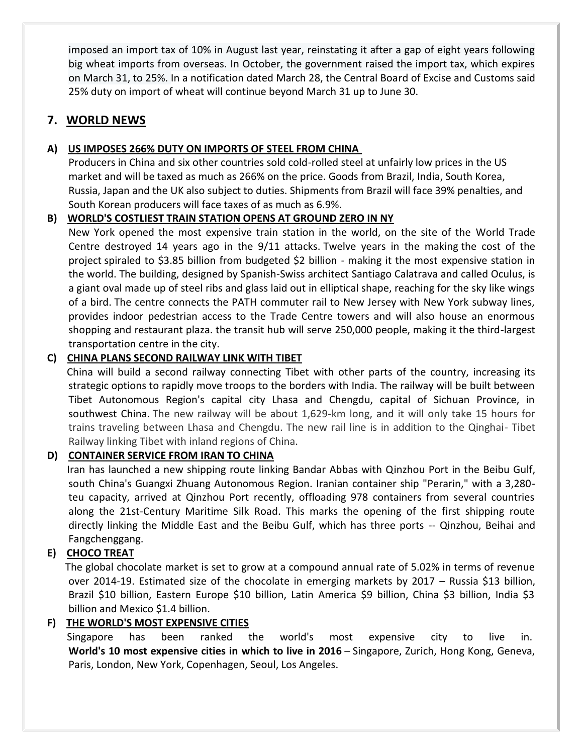imposed an import tax of 10% in August last year, reinstating it after a gap of eight years following big wheat imports from overseas. In October, the government raised the import tax, which expires on March 31, to 25%. In a notification dated March 28, the Central Board of Excise and Customs said 25% duty on import of wheat will continue beyond March 31 up to June 30.

## **7. WORLD NEWS**

### **A) US IMPOSES 266% DUTY ON IMPORTS OF STEEL FROM CHINA**

Producers in China and six other countries sold cold-rolled steel at unfairly low prices in the US market and will be taxed as much as 266% on the price. Goods from Brazil, India, South Korea, Russia, Japan and the UK also subject to duties. Shipments from Brazil will face 39% penalties, and South Korean producers will face taxes of as much as 6.9%.

#### **B) WORLD'S COSTLIEST TRAIN STATION OPENS AT GROUND ZERO IN NY**

New York opened the most expensive train station in the world, on the site of the World Trade Centre destroyed 14 years ago in the 9/11 attacks. Twelve years in the making the cost of the project spiraled to \$3.85 billion from budgeted \$2 billion - making it the most expensive station in the world. The building, designed by Spanish-Swiss architect Santiago Calatrava and called Oculus, is a giant oval made up of steel ribs and glass laid out in elliptical shape, reaching for the sky like wings of a bird. The centre connects the PATH commuter rail to New Jersey with New York subway lines, provides indoor pedestrian access to the Trade Centre towers and will also house an enormous shopping and restaurant plaza. the transit hub will serve 250,000 people, making it the third-largest transportation centre in the city.

#### **C) CHINA PLANS SECOND RAILWAY LINK WITH TIBET**

China will build a second railway connecting Tibet with other parts of the country, increasing its strategic options to rapidly move troops to the borders with India. The railway will be built between Tibet Autonomous Region's capital city Lhasa and Chengdu, capital of Sichuan Province, in southwest China. The new railway will be about 1,629-km long, and it will only take 15 hours for trains traveling between Lhasa and Chengdu. The new rail line is in addition to the Qinghai- Tibet Railway linking Tibet with inland regions of China.

## **D) CONTAINER SERVICE FROM IRAN TO CHINA**

Iran has launched a new shipping route linking Bandar Abbas with Qinzhou Port in the Beibu Gulf, south China's Guangxi Zhuang Autonomous Region. Iranian container ship "Perarin," with a 3,280 teu capacity, arrived at Qinzhou Port recently, offloading 978 containers from several countries along the 21st-Century Maritime Silk Road. This marks the opening of the first shipping route directly linking the Middle East and the Beibu Gulf, which has three ports -- Qinzhou, Beihai and Fangchenggang.

## **E) CHOCO TREAT**

The global chocolate market is set to grow at a compound annual rate of 5.02% in terms of revenue over 2014-19. Estimated size of the chocolate in emerging markets by 2017 - Russia \$13 billion, Brazil \$10 billion, Eastern Europe \$10 billion, Latin America \$9 billion, China \$3 billion, India \$3 billion and Mexico \$1.4 billion.

## **F) THE WORLD'S MOST EXPENSIVE CITIES**

Singapore has been ranked the world's most expensive city to live in. **World's 10 most expensive cities in which to live in 2016** – Singapore, Zurich, Hong Kong, Geneva, Paris, London, New York, Copenhagen, Seoul, Los Angeles.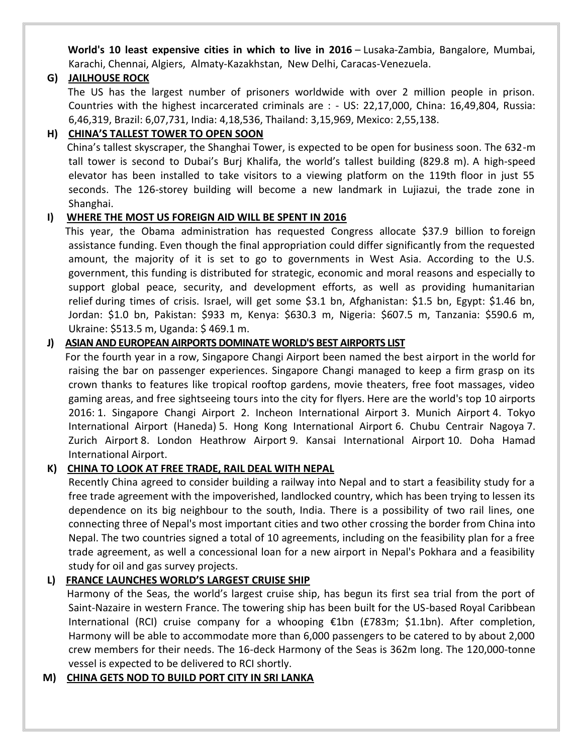**World's 10 least expensive cities in which to live in 2016** – Lusaka-Zambia, Bangalore, Mumbai, Karachi, Chennai, Algiers, Almaty-Kazakhstan, New Delhi, Caracas-Venezuela.

#### **G) JAILHOUSE ROCK**

The US has the largest number of prisoners worldwide with over 2 million people in prison. Countries with the highest incarcerated criminals are : - US: 22,17,000, China: 16,49,804, Russia: 6,46,319, Brazil: 6,07,731, India: 4,18,536, Thailand: 3,15,969, Mexico: 2,55,138.

### **H) CHINA'S TALLEST TOWER TO OPEN SOON**

China's tallest skyscraper, the Shanghai Tower, is expected to be open for business soon. The 632-m tall tower is second to Dubai's Burj Khalifa, the world's tallest building (829.8 m). A high-speed elevator has been installed to take visitors to a viewing platform on the 119th floor in just 55 seconds. The 126-storey building will become a new landmark in Lujiazui, the trade zone in Shanghai.

#### **I) WHERE THE MOST US FOREIGN AID WILL BE SPENT IN 2016**

This year, the Obama administration has requested Congress allocate \$37.9 billion to foreign assistance funding. Even though the final appropriation could differ significantly from the requested amount, the majority of it is set to go to governments in West Asia. According to the U.S. government, this funding is distributed for strategic, economic and moral reasons and especially to support global peace, security, and development efforts, as well as providing humanitarian relief during times of crisis. Israel, will get some \$3.1 bn, Afghanistan: \$1.5 bn, Egypt: \$1.46 bn, Jordan: \$1.0 bn, Pakistan: \$933 m, Kenya: \$630.3 m, Nigeria: \$607.5 m, Tanzania: \$590.6 m, Ukraine: \$513.5 m, Uganda: \$ 469.1 m.

#### **J) ASIAN AND EUROPEAN AIRPORTS DOMINATE WORLD'S BEST AIRPORTS LIST**

For the fourth year in a row, Singapore Changi Airport been named the best airport in the world for raising the bar on passenger experiences. Singapore Changi managed to keep a firm grasp on its crown thanks to features like tropical rooftop gardens, movie theaters, free foot massages, video gaming areas, and free sightseeing tours into the city for flyers. Here are the world's top 10 airports 2016: 1. Singapore Changi Airport 2. Incheon International Airport 3. Munich Airport 4. Tokyo International Airport (Haneda) 5. Hong Kong International Airport 6. Chubu Centrair Nagoya 7. Zurich Airport 8. London Heathrow Airport 9. Kansai International Airport 10. Doha Hamad International Airport.

#### **K) CHINA TO LOOK AT FREE TRADE, RAIL DEAL WITH NEPAL**

Recently China agreed to consider building a railway into Nepal and to start a feasibility study for a free trade agreement with the impoverished, landlocked country, which has been trying to lessen its dependence on its big neighbour to the south, India. There is a possibility of two rail lines, one connecting three of Nepal's most important cities and two other crossing the border from China into Nepal. The two countries signed a total of 10 agreements, including on the feasibility plan for a free trade agreement, as well a concessional loan for a new airport in Nepal's Pokhara and a feasibility study for oil and gas survey projects.

#### **L) FRANCE LAUNCHES WORLD'S LARGEST CRUISE SHIP**

Harmony of the Seas, the world's largest cruise ship, has begun its first sea trial from the port of Saint-Nazaire in western France. The towering ship has been built for the US-based Royal Caribbean International (RCI) cruise company for a whooping €1bn (£783m; \$1.1bn). After completion, Harmony will be able to accommodate more than 6,000 passengers to be catered to by about 2,000 crew members for their needs. The 16-deck Harmony of the Seas is 362m long. The 120,000-tonne vessel is expected to be delivered to RCI shortly.

#### **M) CHINA GETS NOD TO BUILD PORT CITY IN SRI LANKA**